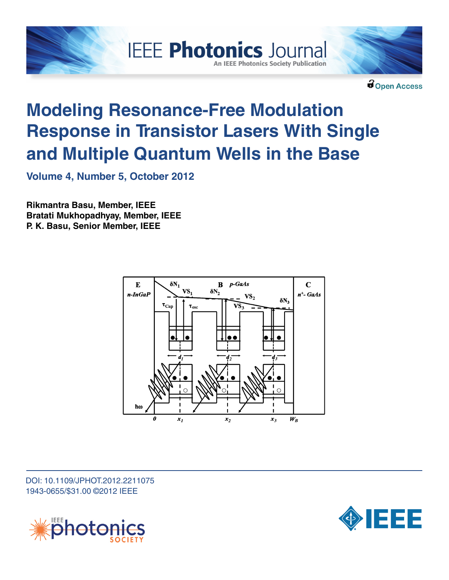

**IEEE Photonics Journal An IEEE Photonics Society Publication** 

**C** Open Access

# **Modeling Resonance-Free Modulation Response in Transistor Lasers With Single and Multiple Quantum Wells in the Base**

**Volume 4, Number 5, October 2012**

**Rikmantra Basu, Member, IEEE Bratati Mukhopadhyay, Member, IEEE P. K. Basu, Senior Member, IEEE**



DOI: 10.1109/JPHOT.2012.2211075 1943-0655/\$31.00 ©2012 IEEE



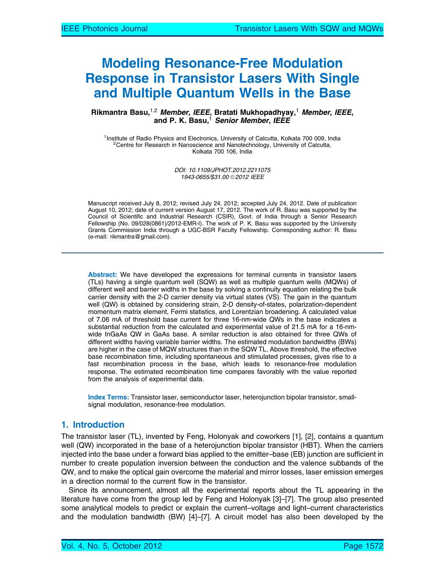# Modeling Resonance-Free Modulation Response in Transistor Lasers With Single and Multiple Quantum Wells in the Base

#### Rikmantra Basu,<sup>1,2</sup> Member, IEEE, Bratati Mukhopadhyay,<sup>1</sup> Member, IEEE, and P. K. Basu,<sup>1</sup> *Senior Member, IEEE*

<sup>1</sup>Institute of Radio Physics and Electronics, University of Calcutta, Kolkata 700 009, India <sup>2</sup>Centre for Research in Nanoscience and Nanotechnology, University of Calcutta, Kolkata 700 106, India

> DOI: 10.1109/JPHOT.2012.2211075 1943-0655/\$31.00 © 2012 IEEE

Manuscript received July 8, 2012; revised July 24, 2012; accepted July 24, 2012. Date of publication August 10, 2012; date of current version August 17, 2012. The work of R. Basu was supported by the Council of Scientific and Industrial Research (CSIR), Govt. of India through a Senior Research Fellowship (No. 09/028(0861)/2012-EMR-I). The work of P. K. Basu was supported by the University Grants Commission India through a UGC-BSR Faculty Fellowship. Corresponding author: R. Basu (e-mail: rikmantra@gmail.com).

Abstract: We have developed the expressions for terminal currents in transistor lasers (TLs) having a single quantum well (SQW) as well as multiple quantum wells (MQWs) of different well and barrier widths in the base by solving a continuity equation relating the bulk carrier density with the 2-D carrier density via virtual states (VS). The gain in the quantum well (QW) is obtained by considering strain, 2-D density-of-states, polarization-dependent momentum matrix element, Fermi statistics, and Lorentzian broadening. A calculated value of 7.06 mA of threshold base current for three 16-nm-wide QWs in the base indicates a substantial reduction from the calculated and experimental value of 21.5 mA for a 16-nmwide InGaAs QW in GaAs base. A similar reduction is also obtained for three QWs of different widths having variable barrier widths. The estimated modulation bandwidths (BWs) are higher in the case of MQW structures than in the SQW TL. Above threshold, the effective base recombination time, including spontaneous and stimulated processes, gives rise to a fast recombination process in the base, which leads to resonance-free modulation response. The estimated recombination time compares favorably with the value reported from the analysis of experimental data.

Index Terms: Transistor laser, semiconductor laser, heterojunction bipolar transistor, smallsignal modulation, resonance-free modulation.

### 1. Introduction

The transistor laser (TL), invented by Feng, Holonyak and coworkers [1], [2], contains a quantum well (QW) incorporated in the base of a heterojunction bipolar transistor (HBT). When the carriers injected into the base under a forward bias applied to the emitter–base (EB) junction are sufficient in number to create population inversion between the conduction and the valence subbands of the QW, and to make the optical gain overcome the material and mirror losses, laser emission emerges in a direction normal to the current flow in the transistor.

Since its announcement, almost all the experimental reports about the TL appearing in the literature have come from the group led by Feng and Holonyak [3]–[7]. The group also presented some analytical models to predict or explain the current–voltage and light–current characteristics and the modulation bandwidth (BW) [4]–[7]. A circuit model has also been developed by the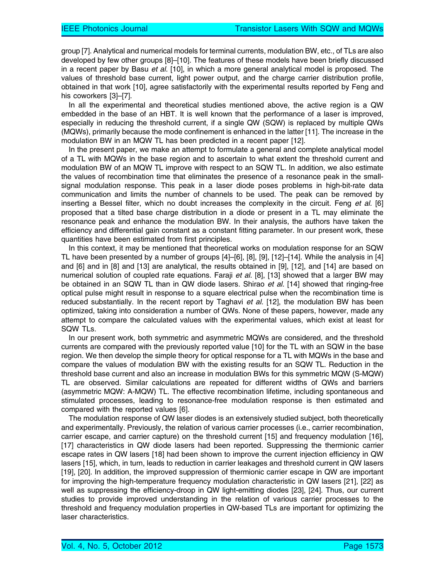group [7]. Analytical and numerical models for terminal currents, modulation BW, etc., of TLs are also developed by few other groups [8]–[10]. The features of these models have been briefly discussed in a recent paper by Basu et al. [10], in which a more general analytical model is proposed. The values of threshold base current, light power output, and the charge carrier distribution profile, obtained in that work [10], agree satisfactorily with the experimental results reported by Feng and his coworkers [3]-[7].

In all the experimental and theoretical studies mentioned above, the active region is a QW embedded in the base of an HBT. It is well known that the performance of a laser is improved, especially in reducing the threshold current, if a single QW (SQW) is replaced by multiple QWs (MQWs), primarily because the mode confinement is enhanced in the latter [11]. The increase in the modulation BW in an MQW TL has been predicted in a recent paper [12].

In the present paper, we make an attempt to formulate a general and complete analytical model of a TL with MQWs in the base region and to ascertain to what extent the threshold current and modulation BW of an MQW TL improve with respect to an SQW TL. In addition, we also estimate the values of recombination time that eliminates the presence of a resonance peak in the smallsignal modulation response. This peak in a laser diode poses problems in high-bit-rate data communication and limits the number of channels to be used. The peak can be removed by inserting a Bessel filter, which no doubt increases the complexity in the circuit. Feng et al. [6] proposed that a tilted base charge distribution in a diode or present in a TL may eliminate the resonance peak and enhance the modulation BW. In their analysis, the authors have taken the efficiency and differential gain constant as a constant fitting parameter. In our present work, these quantities have been estimated from first principles.

In this context, it may be mentioned that theoretical works on modulation response for an SQW TL have been presented by a number of groups [4]–[6], [8], [9], [12]–[14]. While the analysis in [4] and [6] and in [8] and [13] are analytical, the results obtained in [9], [12], and [14] are based on numerical solution of coupled rate equations. Faraji et al. [8], [13] showed that a larger BW may be obtained in an SQW TL than in QW diode lasers. Shirao *et al.* [14] showed that ringing-free optical pulse might result in response to a square electrical pulse when the recombination time is reduced substantially. In the recent report by Taghavi et al. [12], the modulation BW has been optimized, taking into consideration a number of QWs. None of these papers, however, made any attempt to compare the calculated values with the experimental values, which exist at least for SQW TLs.

In our present work, both symmetric and asymmetric MQWs are considered, and the threshold currents are compared with the previously reported value [10] for the TL with an SQW in the base region. We then develop the simple theory for optical response for a TL with MQWs in the base and compare the values of modulation BW with the existing results for an SQW TL. Reduction in the threshold base current and also an increase in modulation BWs for this symmetric MQW (S-MQW) TL are observed. Similar calculations are repeated for different widths of QWs and barriers (asymmetric MQW: A-MQW) TL. The effective recombination lifetime, including spontaneous and stimulated processes, leading to resonance-free modulation response is then estimated and compared with the reported values [6].

The modulation response of QW laser diodes is an extensively studied subject, both theoretically and experimentally. Previously, the relation of various carrier processes (i.e., carrier recombination, carrier escape, and carrier capture) on the threshold current [15] and frequency modulation [16], [17] characteristics in QW diode lasers had been reported. Suppressing the thermionic carrier escape rates in QW lasers [18] had been shown to improve the current injection efficiency in QW lasers [15], which, in turn, leads to reduction in carrier leakages and threshold current in QW lasers [19], [20]. In addition, the improved suppression of thermionic carrier escape in QW are important for improving the high-temperature frequency modulation characteristic in QW lasers [21], [22] as well as suppressing the efficiency-droop in QW light-emitting diodes [23], [24]. Thus, our current studies to provide improved understanding in the relation of various carrier processes to the threshold and frequency modulation properties in QW-based TLs are important for optimizing the laser characteristics.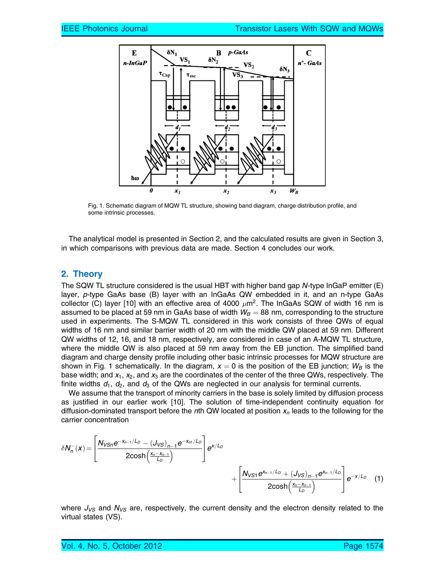

Fig. 1. Schematic diagram of MQW TL structure, showing band diagram, charge distribution profile, and some intrinsic processes.

The analytical model is presented in Section 2, and the calculated results are given in Section 3, in which comparisons with previous data are made. Section 4 concludes our work.

#### 2. Theory

The SQW TL structure considered is the usual HBT with higher band gap N-type InGaP emitter (E) layer, p-type GaAs base (B) layer with an InGaAs QW embedded in it, and an n-type GaAs collector (C) layer [10] with an effective area of 4000  $\mu$ m<sup>2</sup>. The InGaAs SQW of width 16 nm is assumed to be placed at 59 nm in GaAs base of width  $W_B = 88$  nm, corresponding to the structure used in experiments. The S-MQW TL considered in this work consists of three QWs of equal widths of 16 nm and similar barrier width of 20 nm with the middle QW placed at 59 nm. Different QW widths of 12, 16, and 18 nm, respectively, are considered in case of an A-MQW TL structure, where the middle QW is also placed at 59 nm away from the EB junction. The simplified band diagram and charge density profile including other basic intrinsic processes for MQW structure are shown in Fig. 1 schematically. In the diagram,  $x = 0$  is the position of the EB junction;  $W_B$  is the base width; and  $x_1$ ,  $x_2$ , and  $x_3$  are the coordinates of the center of the three QWs, respectively. The finite widths  $d_1$ ,  $d_2$ , and  $d_3$  of the QWs are neglected in our analysis for terminal currents.

We assume that the transport of minority carriers in the base is solely limited by diffusion process as justified in our earlier work [10]. The solution of time-independent continuity equation for diffusion-dominated transport before the nth QW located at position  $x_n$  leads to the following for the carrier concentration

$$
\delta N_{n}^{-}(x) = \left[\frac{N_{VSn}e^{-x_{n-1}/L_{D}} - (J_{VS})_{n-1}e^{-x_{n1}/L_{D}}}{2\cosh\left(\frac{x_{n}-x_{n-1}}{L_{D}}\right)}\right]e^{x/L_{D}} + \left[\frac{N_{VSI}e^{x_{n-1}/L_{D}} + (J_{VS})_{n-1}e^{x_{n-1}/L_{D}}}{2\cosh\left(\frac{x_{n}-x_{n-1}}{L_{D}}\right)}\right]e^{-x/L_{D}}
$$
(1)

where  $J_{VS}$  and  $N_{VS}$  are, respectively, the current density and the electron density related to the virtual states (VS).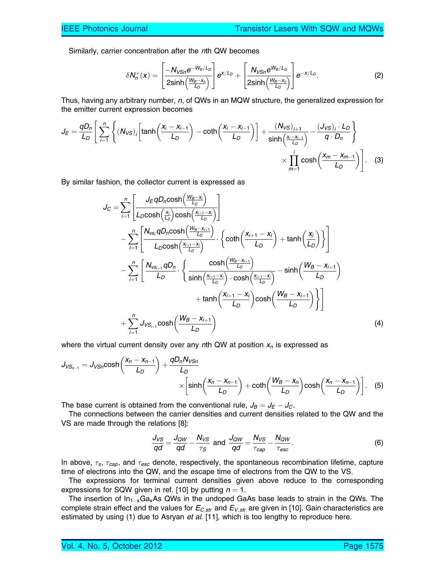Similarly, carrier concentration after the nth QW becomes

$$
\delta N_n^+(x) = \left[\frac{-N_{VSn}e^{-W_B/L_D}}{2\sinh\left(\frac{W_B-x_n}{L_D}\right)}\right]e^{x/L_D} + \left[\frac{N_{VSn}e^{W_B/L_D}}{2\sinh\left(\frac{W_B-x_n}{L_D}\right)}\right]e^{-x/L_D}.\tag{2}
$$

Thus, having any arbitrary number, n, of QWs in an MQW structure, the generalized expression for the emitter current expression becomes

$$
J_E = \frac{qD_n}{L_D} \left[ \sum_{i=1}^n \left\{ (N_{VS})_i \left[ \tanh\left(\frac{x_i - x_{i-1}}{L_D}\right) - \coth\left(\frac{x_i - x_{i-1}}{L_D}\right) \right] + \frac{(N_{VS})_{i+1}}{\sinh\left(\frac{x_i - x_{i-1}}{L_D}\right)} - \frac{(J_{VS})_i \cdot L_D}{q \cdot D_n} \right\} \times \prod_{m=1}^i \cosh\left(\frac{x_m - x_{m-1}}{L_D}\right) \right].
$$
 (3)

By similar fashion, the collector current is expressed as

$$
J_C = \sum_{i=1}^{n} \left[ \frac{J_E q D_n \cosh\left(\frac{W_B - X_i}{L_D}\right)}{L_D \cosh\left(\frac{X_i}{L_D}\right) \cosh\left(\frac{X_{i+1} - X_i}{L_D}\right)} \right]
$$
  
\n
$$
- \sum_{i=1}^{n} \left[ \frac{N_{vs_i} q D_n \cosh\left(\frac{W_B - X_{i+1}}{L_D}\right)}{L_D \cosh\left(\frac{X_{i+1} - X_i}{L_D}\right)} \cdot \left\{ \coth\left(\frac{X_{i+1} - X_i}{L_D}\right) + \tanh\left(\frac{X_i}{L_D}\right) \right\} \right]
$$
  
\n
$$
- \sum_{i=1}^{n} \left[ \frac{N_{vs_{i+1}} q D_n}{L_D} \cdot \left\{ \frac{\cosh\left(\frac{W_B - X_{i+1}}{L_D}\right)}{\sinh\left(\frac{X_{i+1} - X_i}{L_D}\right) \cdot \cosh\left(\frac{X_{i+1} - X_i}{L_D}\right)} - \sinh\left(\frac{W_B - X_{i+1}}{L_D}\right) \right\}
$$
  
\n
$$
+ \tanh\left(\frac{X_{i+1} - X_i}{L_D}\right) \cosh\left(\frac{W_B - X_{i+1}}{L_D}\right) \right]
$$
  
\n
$$
+ \sum_{i=1}^{n} J_{VS_{i+1}} \cosh\left(\frac{W_B - X_{i+1}}{L_D}\right)
$$
  
\n(4)

where the virtual current density over any nth QW at position  $x_n$  is expressed as

$$
J_{VS_{n-1}} = J_{VSn} \cosh\left(\frac{x_n - x_{n-1}}{L_D}\right) + \frac{qD_n N_{VSn}}{L_D} \times \left[\sinh\left(\frac{x_n - x_{n-1}}{L_D}\right) + \coth\left(\frac{W_B - x_n}{L_D}\right) \cosh\left(\frac{x_n - x_{n-1}}{L_D}\right)\right].
$$
 (5)

The base current is obtained from the conventional rule,  $J_B = J_E - J_C$ .

The connections between the carrier densities and current densities related to the QW and the VS are made through the relations [8]:

$$
\frac{J_{VS}}{qd} = \frac{J_{QW}}{qd} - \frac{N_{VS}}{\tau_S} \text{ and } \frac{J_{QW}}{qd} = \frac{N_{VS}}{\tau_{cap}} - \frac{N_{QW}}{\tau_{esc}}.
$$
 (6)

In above,  $\tau_s$ ,  $\tau_{cap}$ , and  $\tau_{esc}$  denote, respectively, the spontaneous recombination lifetime, capture time of electrons into the QW, and the escape time of electrons from the QW to the VS.

The expressions for terminal current densities given above reduce to the corresponding expressions for SQW given in ref. [10] by putting  $n = 1$ .

The insertion of  $In_{1-x}Ga_xAs$  QWs in the undoped GaAs base leads to strain in the QWs. The complete strain effect and the values for  $E_{C,str}$  and  $E_{V,str}$  are given in [10]. Gain characteristics are estimated by using  $(1)$  due to Asryan *et al.* [11], which is too lengthy to reproduce here.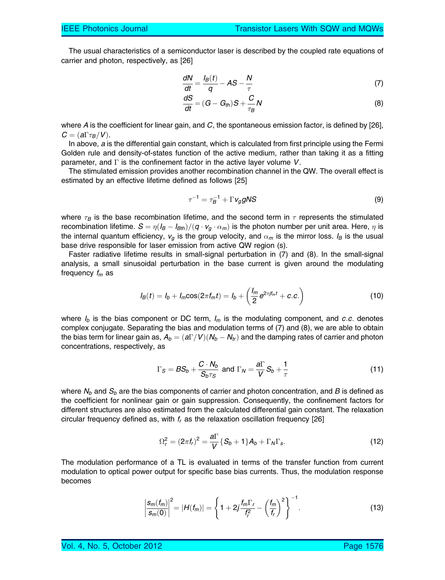The usual characteristics of a semiconductor laser is described by the coupled rate equations of carrier and photon, respectively, as [26]

$$
\frac{dN}{dt} = \frac{I_B(t)}{q} - AS - \frac{N}{\tau}
$$
 (7)

$$
\frac{dS}{dt} = (G - G_{th})S + \frac{C}{\tau_B}N\tag{8}
$$

where A is the coefficient for linear gain, and C, the spontaneous emission factor, is defined by [26],  $C = (a\Gamma \tau_B/V).$ 

In above, a is the differential gain constant, which is calculated from first principle using the Fermi Golden rule and density-of-states function of the active medium, rather than taking it as a fitting parameter, and  $\Gamma$  is the confinement factor in the active layer volume V.

The stimulated emission provides another recombination channel in the QW. The overall effect is estimated by an effective lifetime defined as follows [25]

$$
\tau^{-1} = \tau_B^{-1} + \Gamma v_g g N S \tag{9}
$$

where  $\tau_B$  is the base recombination lifetime, and the second term in  $\tau$  represents the stimulated recombination lifetime.  ${\cal S}=\eta (I_B-I_{Bth})/(q\cdot v_g\cdot\alpha_m)$  is the photon number per unit area. Here,  $\eta$  is the internal quantum efficiency,  $v_g$  is the group velocity, and  $\alpha_m$  is the mirror loss. I<sub>B</sub> is the usual base drive responsible for laser emission from active QW region (s).

Faster radiative lifetime results in small-signal perturbation in (7) and (8). In the small-signal analysis, a small sinusoidal perturbation in the base current is given around the modulating frequency  $f_m$  as

$$
I_B(t) = I_b + I_m \cos(2\pi f_m t) = I_b + \left(\frac{I_m}{2} e^{2\pi j f_m t} + c.c.\right)
$$
 (10)

where  $I_b$  is the bias component or DC term,  $I_m$  is the modulating component, and c.c. denotes complex conjugate. Separating the bias and modulation terms of (7) and (8), we are able to obtain the bias term for linear gain as,  $A_b = (a\Gamma/V) (N_b-N_{tr})$  and the damping rates of carrier and photon concentrations, respectively, as

$$
\Gamma_S = BS_b + \frac{C \cdot N_b}{S_b \tau_S} \text{ and } \Gamma_N = \frac{a \Gamma}{V} S_b + \frac{1}{\tau}
$$
 (11)

where  $N_b$  and  $S_b$  are the bias components of carrier and photon concentration, and B is defined as the coefficient for nonlinear gain or gain suppression. Consequently, the confinement factors for different structures are also estimated from the calculated differential gain constant. The relaxation circular frequency defined as, with  $f<sub>r</sub>$  as the relaxation oscillation frequency [26]

$$
\Omega_r^2 = (2\pi f_r)^2 = \frac{a\Gamma}{V} \{S_b + 1\} A_b + \Gamma_N \Gamma_s.
$$
 (12)

The modulation performance of a TL is evaluated in terms of the transfer function from current modulation to optical power output for specific base bias currents. Thus, the modulation response becomes

$$
\left|\frac{s_m(f_m)}{s_m(0)}\right|^2 = |H(f_m)| = \left\{1 + 2j\frac{f_m\Gamma_r}{f_r^2} - \left(\frac{f_m}{f_r}\right)^2\right\}^{-1}.
$$
 (13)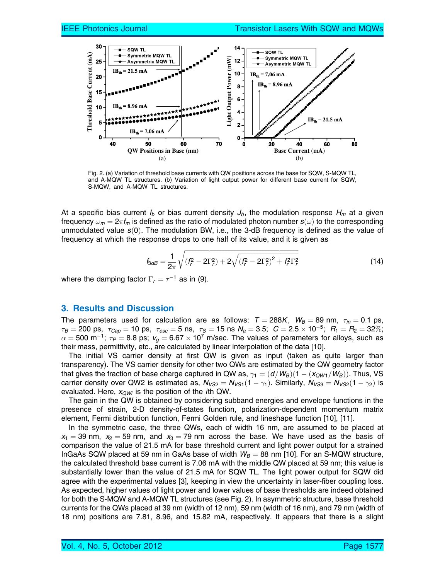

Fig. 2. (a) Variation of threshold base currents with QW positions across the base for SQW, S-MQW TL, and A-MQW TL structures. (b) Variation of light output power for different base current for SQW, S-MQW, and A-MQW TL structures.

At a specific bias current  $I_b$  or bias current density  $J_b$ , the modulation response  $H_m$  at a given frequency  $\omega_m = 2\pi f_m$  is defined as the ratio of modulated photon number  $s(\omega)$  to the corresponding unmodulated value  $s(0)$ . The modulation BW, i.e., the 3-dB frequency is defined as the value of frequency at which the response drops to one half of its value, and it is given as

$$
f_{3dB} = \frac{1}{2\pi} \sqrt{(f_r^2 - 2\Gamma_r^2) + 2\sqrt{(f_r^2 - 2\Gamma_r^2)^2 + f_r^2 \Gamma_r^2}}
$$
(14)

where the damping factor  $\Gamma_r = \tau^{-1}$  as in (9).

## 3. Results and Discussion

The parameters used for calculation are as follows:  $T = 288K$ ,  $W_B = 89$  nm,  $\tau_{in} = 0.1$  ps,  $\tau_B =$  200 ps,  $\tau_{Cap} =$  10 ps,  $\tau_{esc} =$  5 ns,  $\tau_S =$  15 ns  $N_a =$  3.5;  $\,$   $C =$  2.5  $\times$  10 $^{-5};$   $\,$   $R_1 =$   $R_2 =$  32 $\%;$  $\alpha=$  500 m $^{-1};~\tau_P=$  8.8 ps;  $\rm v_g=$  6.67  $\times$  10<sup>7</sup> m/sec. The values of parameters for alloys, such as their mass, permittivity, etc., are calculated by linear interpolation of the data [10].

The initial VS carrier density at first QW is given as input (taken as quite larger than transparency). The VS carrier density for other two QWs are estimated by the QW geometry factor that gives the fraction of base charge captured in QW as,  $\gamma_1= (d/W_B)(1-(x_{QW1}/W_B)).$  Thus, VS carrier density over QW2 is estimated as,  $N_{\rm VS2}=N_{\rm VS1}(1-\gamma_1).$  Similarly,  $N_{\rm VS3}=N_{\rm VS2}(1-\gamma_2)$  is evaluated. Here,  $x_{QWi}$  is the position of the *i*th QW.

The gain in the QW is obtained by considering subband energies and envelope functions in the presence of strain, 2-D density-of-states function, polarization-dependent momentum matrix element, Fermi distribution function, Fermi Golden rule, and lineshape function [10], [11].

In the symmetric case, the three QWs, each of width 16 nm, are assumed to be placed at  $x_1 = 39$  nm,  $x_2 = 59$  nm, and  $x_3 = 79$  nm across the base. We have used as the basis of comparison the value of 21.5 mA for base threshold current and light power output for a strained InGaAs SQW placed at 59 nm in GaAs base of width  $W_B = 88$  nm [10]. For an S-MQW structure, the calculated threshold base current is 7.06 mA with the middle QW placed at 59 nm; this value is substantially lower than the value of 21.5 mA for SQW TL. The light power output for SQW did agree with the experimental values [3], keeping in view the uncertainty in laser-fiber coupling loss. As expected, higher values of light power and lower values of base thresholds are indeed obtained for both the S-MQW and A-MQW TL structures (see Fig. 2). In asymmetric structure, base threshold currents for the QWs placed at 39 nm (width of 12 nm), 59 nm (width of 16 nm), and 79 nm (width of 18 nm) positions are 7.81, 8.96, and 15.82 mA, respectively. It appears that there is a slight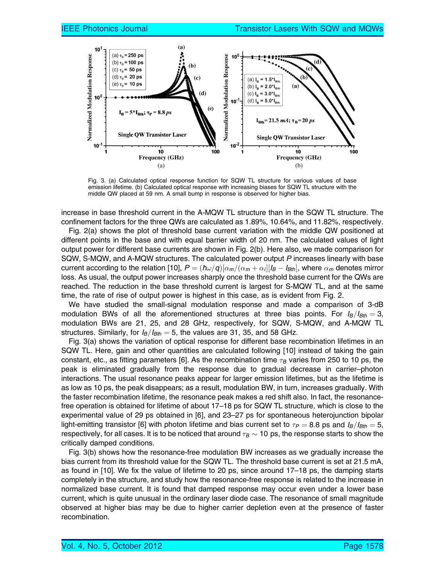

Fig. 3. (a) Calculated optical response function for SQW TL structure for various values of base emission lifetime. (b) Calculated optical response with increasing biases for SQW TL structure with the middle QW placed at 59 nm. A small bump in response is observed for higher bias.

increase in base threshold current in the A-MQW TL structure than in the SQW TL structure. The confinement factors for the three QWs are calculated as 1.89%, 10.64%, and 11.82%, respectively.

Fig. 2(a) shows the plot of threshold base current variation with the middle QW positioned at different points in the base and with equal barrier width of 20 nm. The calculated values of light output power for different base currents are shown in Fig. 2(b). Here also, we made comparison for SQW, S-MQW, and A-MQW structures. The calculated power output P increases linearly with base current according to the relation [10],  $P=(\hbar\omega/q)[\alpha_m/(\alpha_m+\alpha_i][l_B-l_{Bth}]$ , where  $\alpha_m$  denotes mirror loss. As usual, the output power increases sharply once the threshold base current for the QWs are reached. The reduction in the base threshold current is largest for S-MQW TL, and at the same time, the rate of rise of output power is highest in this case, as is evident from Fig. 2.

We have studied the small-signal modulation response and made a comparison of 3-dB modulation BWs of all the aforementioned structures at three bias points. For  $I_B/I_{Bth} = 3$ , modulation BWs are 21, 25, and 28 GHz, respectively, for SQW, S-MQW, and A-MQW TL structures. Similarly, for  $I_B/I_{Bth} = 5$ , the values are 31, 35, and 58 GHz.

Fig. 3(a) shows the variation of optical response for different base recombination lifetimes in an SQW TL. Here, gain and other quantities are calculated following [10] instead of taking the gain constant, etc., as fitting parameters [6]. As the recombination time  $\tau_B$  varies from 250 to 10 ps, the peak is eliminated gradually from the response due to gradual decrease in carrier–photon interactions. The usual resonance peaks appear for larger emission lifetimes, but as the lifetime is as low as 10 ps, the peak disappears; as a result, modulation BW, in turn, increases gradually. With the faster recombination lifetime, the resonance peak makes a red shift also. In fact, the resonancefree operation is obtained for lifetime of about 17–18 ps for SQW TL structure, which is close to the experimental value of 29 ps obtained in [6], and 23–27 ps for spontaneous heterojunction bipolar light-emitting transistor [6] with photon lifetime and bias current set to  $\tau_P = 8.8$  ps and  $I_B/I_{Bth} = 5$ , respectively, for all cases. It is to be noticed that around  $\tau_B \sim 10$  ps, the response starts to show the critically damped conditions.

Fig. 3(b) shows how the resonance-free modulation BW increases as we gradually increase the bias current from its threshold value for the SQW TL. The threshold base current is set at 21.5 mA, as found in [10]. We fix the value of lifetime to 20 ps, since around 17–18 ps, the damping starts completely in the structure, and study how the resonance-free response is related to the increase in normalized base current. It is found that damped response may occur even under a lower base current, which is quite unusual in the ordinary laser diode case. The resonance of small magnitude observed at higher bias may be due to higher carrier depletion even at the presence of faster recombination.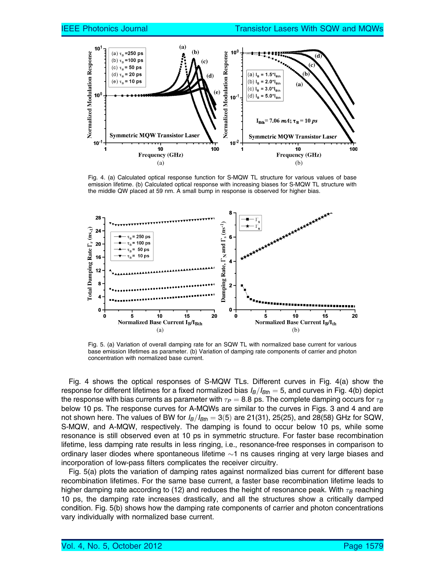

Fig. 4. (a) Calculated optical response function for S-MQW TL structure for various values of base emission lifetime. (b) Calculated optical response with increasing biases for S-MQW TL structure with the middle QW placed at 59 nm. A small bump in response is observed for higher bias.



Fig. 5. (a) Variation of overall damping rate for an SQW TL with normalized base current for various base emission lifetimes as parameter. (b) Variation of damping rate components of carrier and photon concentration with normalized base current.

Fig. 4 shows the optical responses of S-MQW TLs. Different curves in Fig. 4(a) show the response for different lifetimes for a fixed normalized bias  $I_B/I_{Bth} = 5$ , and curves in Fig. 4(b) depict the response with bias currents as parameter with  $\tau_P = 8.8$  ps. The complete damping occurs for  $\tau_B$ below 10 ps. The response curves for A-MQWs are similar to the curves in Figs. 3 and 4 and are not shown here. The values of BW for  $I_B/I_{Bth} = 3(5)$  are 21(31), 25(25), and 28(58) GHz for SQW, S-MQW, and A-MQW, respectively. The damping is found to occur below 10 ps, while some resonance is still observed even at 10 ps in symmetric structure. For faster base recombination lifetime, less damping rate results in less ringing, i.e., resonance-free responses in comparison to ordinary laser diodes where spontaneous lifetime  $\sim$ 1 ns causes ringing at very large biases and incorporation of low-pass filters complicates the receiver circuitry.

Fig. 5(a) plots the variation of damping rates against normalized bias current for different base recombination lifetimes. For the same base current, a faster base recombination lifetime leads to higher damping rate according to (12) and reduces the height of resonance peak. With  $\tau_B$  reaching 10 ps, the damping rate increases drastically, and all the structures show a critically damped condition. Fig. 5(b) shows how the damping rate components of carrier and photon concentrations vary individually with normalized base current.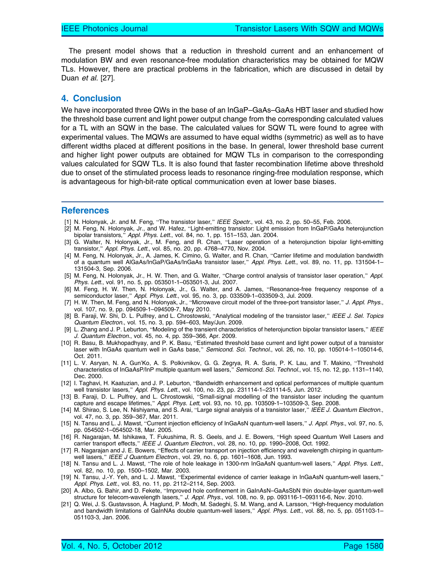The present model shows that a reduction in threshold current and an enhancement of modulation BW and even resonance-free modulation characteristics may be obtained for MQW TLs. However, there are practical problems in the fabrication, which are discussed in detail by Duan et al. [27].

#### 4. Conclusion

We have incorporated three QWs in the base of an InGaP–GaAs–GaAs HBT laser and studied how the threshold base current and light power output change from the corresponding calculated values for a TL with an SQW in the base. The calculated values for SQW TL were found to agree with experimental values. The MQWs are assumed to have equal widths (symmetric) as well as to have different widths placed at different positions in the base. In general, lower threshold base current and higher light power outputs are obtained for MQW TLs in comparison to the corresponding values calculated for SQW TLs. It is also found that faster recombination lifetime above threshold due to onset of the stimulated process leads to resonance ringing-free modulation response, which is advantageous for high-bit-rate optical communication even at lower base biases.

#### References

- [1] N. Holonyak, Jr. and M. Feng, "The transistor laser," IEEE Spectr., vol. 43, no. 2, pp. 50–55, Feb. 2006.
- [2] M. Feng, N. Holonyak, Jr., and W. Hafez, "Light-emitting transistor: Light emission from InGaP/GaAs heterojunction bipolar transistors," Appl. Phys. Lett., vol. 84, no. 1, pp. 151–153, Jan. 2004.
- [3] G. Walter, N. Holonyak, Jr., M. Feng, and R. Chan, "Laser operation of a heterojunction bipolar light-emitting transistor," Appl. Phys. Lett., vol. 85, no. 20, pp. 4768–4770, Nov. 2004.
- [4] M. Feng, N. Holonyak, Jr., A. James, K. Cimino, G. Walter, and R. Chan, "Carrier lifetime and modulation bandwidth of a quantum well AlGaAs/InGaP/GaAs/InGaAs transistor laser," Appl. Phys. Lett., vol. 89, no. 11, pp. 131504-1-131504-3, Sep. 2006.
- [5] M. Feng, N. Holonyak, Jr., H. W. Then, and G. Walter, "Charge control analysis of transistor laser operation," Appl. Phys. Lett., vol. 91, no. 5, pp. 053501-1–053501-3, Jul. 2007.
- [6] M. Feng, H. W. Then, N. Holonyak, Jr., G. Walter, and A. James, "Resonance-free frequency response of a semiconductor laser," Appl. Phys. Lett., vol. 95, no. 3, pp. 033509-1-033509-3, Jul. 2009.
- [7] H. W. Then, M. Feng, and N. Holonyak, Jr., "Microwave circuit model of the three-port transistor laser," J. Appl. Phys., vol. 107, no. 9, pp. 094509-1–094509-7, May 2010.
- [8] B. Faraji, W. Shi, D. L. Pulfrey, and L. Chrostowski, "Analytical modeling of the transistor laser," IEEE J. Sel. Topics Quantum Electron., vol. 15, no. 3, pp. 594–603, May/Jun. 2009.
- [9] L. Zhang and J. P. Leburton, "Modeling of the transient characteristics of heterojunction bipolar transistor lasers," IEEE J. Quantum Electron., vol. 45, no. 4, pp. 359–366, Apr. 2009.
- [10] R. Basu, B. Mukhopadhyay, and P. K. Basu, "Estimated threshold base current and light power output of a transistor laser with InGaAs quantum well in GaAs base," Semicond. Sci. Technol., vol. 26, no. 10, pp. 105014-1-105014-6, Oct. 2011.
- [11] L. V. Asryan, N. A. Gun'Ko, A. S. Polkivnikov, G. G. Zegrya, R. A. Suris, P. K. Lau, and T. Makino, "Threshold characteristics of InGaAsP/InP multiple quantum well lasers," Semicond. Sci. Technol., vol. 15, no. 12, pp. 1131-1140, Dec. 2000.
- [12] I. Taghavi, H. Kaatuzian, and J. P. Leburton, "Bandwidth enhancement and optical performances of multiple quantum well transistor lasers," Appl. Phys. Lett., vol. 100, no. 23, pp. 231114-1–231114-5, Jun. 2012.
- [13] B. Faraji, D. L. Pulfrey, and L. Chrostowski, "Small-signal modelling of the transistor laser including the quantum capture and escape lifetimes," Appl. Phys. Lett, vol. 93, no. 10, pp. 103509-1-103509-3, Sep. 2008.
- [14] M. Shirao, S. Lee, N. Nishiyama, and S. Arai, "Large signal analysis of a transistor laser," IEEE J. Quantum Electron., vol. 47, no. 3, pp. 359–367, Mar. 2011.
- [15] N. Tansu and L. J. Mawst, "Current injection efficiency of InGaAsN quantum-well lasers," J. Appl. Phys., vol. 97, no. 5, pp. 054502-1–054502-18, Mar. 2005.
- [16] R. Nagarajan, M. Ishikawa, T. Fukushima, R. S. Geels, and J. E. Bowers, "High speed Quantum Well Lasers and carrier transport effects," IEEE J. Quantum Electron., vol. 28, no. 10, pp. 1990–2008, Oct. 1992.
- [17] R. Nagarajan and J. E. Bowers, "Effects of carrier transport on injection efficiency and wavelength chirping in quantumwell lasers," IEEE J Quantum Electron., vol. 29, no. 6, pp. 1601–1608, Jun. 1993.
- [18] N. Tansu and L. J. Mawst, "The role of hole leakage in 1300-nm InGaAsN quantum-well lasers," Appl. Phys. Lett., vol. 82, no. 10, pp. 1500–1502, Mar. 2003.
- [19] N. Tansu, J.-Y. Yeh, and L. J. Mawst, "Experimental evidence of carrier leakage in InGaAsN quantum-well lasers," Appl. Phys. Lett., vol. 83, no. 11, pp. 2112–2114, Sep. 2003.
- [20] A. Albo, G. Bahir, and D. Fekete, "Improved hole confinement in GaInAsN–GaAsSbN thin double-layer quantum-well structure for telecom-wavelength lasers," J. Appl. Phys., vol. 108, no. 9, pp. 093116-1–093116-6, Nov. 2010.
- [21] Q. Wei, J. S. Gustavsson, Å. Haglund, P. Modh, M. Sadeghi, S. M. Wang, and A. Larsson, "High-frequency modulation and bandwidth limitations of GaInNAs double quantum-well lasers," Appl. Phys. Lett., vol. 88, no. 5, pp. 051103-1– 051103-3, Jan. 2006.